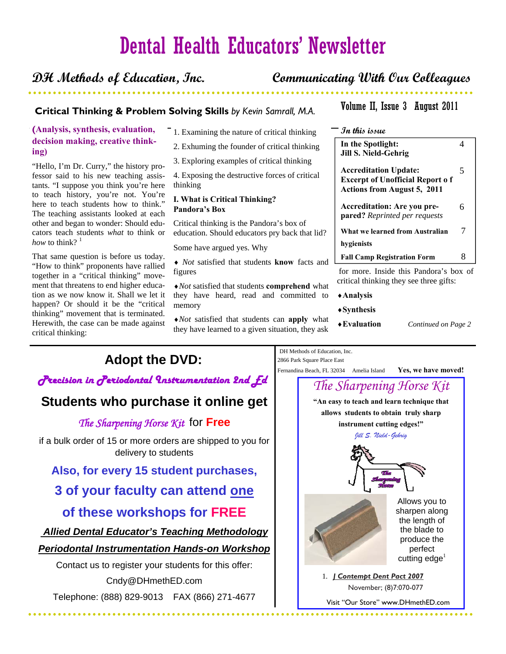# Dental Health Educators' Newsletter

### **DH Methods of Education, Inc. Communicating With Our Colleagues**

### **Critical Thinking and Problem Solving Skills Critical Thinking & Problem Solving Skills** *by Kevin Samrall, M.A.*

### **(Analysis, synthesis, evaluation, decision making, creative thinking)**

"Hello, I'm Dr. Curry," the history professor said to his new teaching assistants. "I suppose you think you're here to teach history, you're not. You're here to teach students how to think." The teaching assistants looked at each other and began to wonder: Should educators teach students *what* to think or *how* to think?  $1$ 

That same question is before us today. "How to think" proponents have rallied together in a "critical thinking" movement that threatens to end higher education as we now know it. Shall we let it happen? Or should it be the "critical thinking" movement that is terminated. Herewith, the case can be made against critical thinking:

- 1. Examining the nature of critical thinking
- 2. Exhuming the founder of critical thinking
- 3. Exploring examples of critical thinking

4. Exposing the destructive forces of critical thinking

### **I. What is Critical Thinking? Pandora's Box**

Critical thinking is the Pandora's box of education. Should educators pry back that lid?

Some have argued yes. Why

♦ *Not* satisfied that students **know** facts and figures

♦*Not* satisfied that students **comprehend** what they have heard, read and committed to memory

♦*Not* satisfied that students can **apply** what they have learned to a given situation, they ask

### Volume II, Issue 3 August 2011

### **In this issue**

| In the Spotlight:<br><b>Jill S. Nield-Gehrig</b>                                                             |   |
|--------------------------------------------------------------------------------------------------------------|---|
| <b>Accreditation Update:</b><br><b>Excerpt of Unofficial Report of</b><br><b>Actions from August 5, 2011</b> | 5 |
| <b>Accreditation: Are you pre-</b><br><b>pared?</b> Reprinted per requests                                   | 6 |
| What we learned from Australian                                                                              |   |
| hygienists                                                                                                   |   |
| <b>Fall Camp Registration Form</b>                                                                           | x |
| for more. Inside this Pandora's box of                                                                       |   |

critical thinking they see three gifts:

- ♦**Analysis**
- ♦**Synthesis**
- 

Fernandina Beach, FL 32034 Amelia Island **Yes, we have moved!** 

DH Methods of Education, Inc. 2866 Park Square Place East

♦**Evaluation** *Continued on Page 2* 

## **Adopt the DVD:**

### *Precision in Periodontal Instrumentation 2nd Ed*

## **Students who purchase it online get**

*The Sharpening Horse Kit* for **Free**

if a bulk order of 15 or more orders are shipped to you for delivery to students

### **Also, for every 15 student purchases,**

## **3 of your faculty can attend one of these workshops for FREE**

## *Allied Dental Educator's Teaching Methodology*

### *Periodontal Instrumentation Hands-on Workshop*

Contact us to register your students for this offer: Cndy@DHmethED.com

Telephone: (888) 829-9013 FAX (866) 271-4677

. . . . . . . .

**"An easy to teach and learn technique that allows students to obtain truly sharp instrument cutting edges!"**  *Jill S. Nield-Gehrig The Sharpening Horse Kit*  Allows you to sharpen along the length of the blade to produce the perfect cutting  $edge<sup>1</sup>$  1. *J Contempt Dent Pact 2007* November; (8)7:070-077 Visit "Our Store" www.DHmethED.com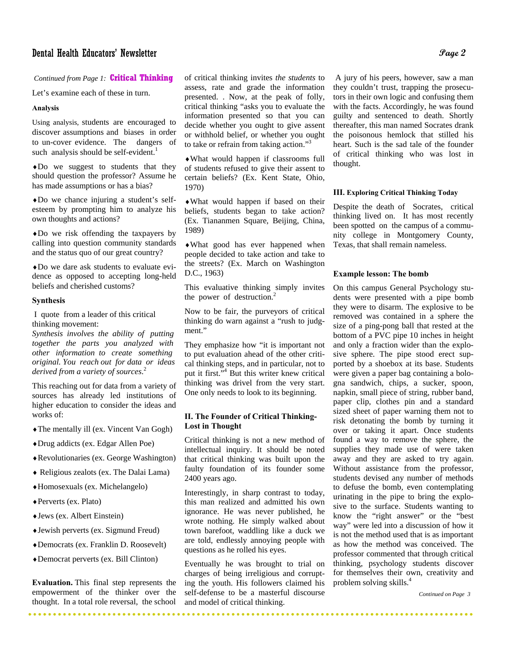### Dental Health Educators' Newsletter **Page 2**

# *Continued from Page 1:* **Critical Thinking**<br>Let's examine each of these in turn.

Let's examine each of these in turn.

### **Analysis**

Using analysis, students are encouraged to discover assumptions and biases in order to un-cover evidence. The dangers of such analysis should be self-evident.<sup>1</sup>

♦Do we suggest to students that they should question the professor? Assume he has made assumptions or has a bias?

♦Do we chance injuring a student's selfesteem by prompting him to analyze his own thoughts and actions?

♦Do we risk offending the taxpayers by calling into question community standards and the status quo of our great country?

♦Do we dare ask students to evaluate evidence as opposed to accepting long-held beliefs and cherished customs?

### **Synthesis**

I quote from a leader of this critical thinking movement:

*Synthesis involves the ability of putting together the parts you analyzed with other information to create something original. You reach out for data or ideas derived from a variety of sources*. 2

This reaching out for data from a variety of sources has already led institutions of higher education to consider the ideas and works of:

- ♦The mentally ill (ex. Vincent Van Gogh)
- ♦Drug addicts (ex. Edgar Allen Poe)
- ♦Revolutionaries (ex. George Washington)
- ♦ Religious zealots (ex. The Dalai Lama)
- ♦Homosexuals (ex. Michelangelo)
- ♦Perverts (ex. Plato)
- ♦Jews (ex. Albert Einstein)
- ♦Jewish perverts (ex. Sigmund Freud)
- ♦Democrats (ex. Franklin D. Roosevelt)
- ♦Democrat perverts (ex. Bill Clinton)

**Evaluation.** This final step represents the empowerment of the thinker over the thought. In a total role reversal, the school

\*\*\*\*\*\*\*\*\*\*\*\*\*\*\*\*\*\*\*\*\*\*

of critical thinking invites *the students* to assess, rate and grade the information presented. . Now, at the peak of folly, critical thinking "asks you to evaluate the information presented so that you can decide whether you ought to give assent or withhold belief, or whether you ought to take or refrain from taking action."3

♦What would happen if classrooms full of students refused to give their assent to certain beliefs? (Ex. Kent State, Ohio, 1970)

♦What would happen if based on their beliefs, students began to take action? (Ex. Tiananmen Square, Beijing, China, 1989)

♦What good has ever happened when people decided to take action and take to the streets? (Ex. March on Washington D.C., 1963)

This evaluative thinking simply invites the power of destruction.<sup>2</sup>

Now to be fair, the purveyors of critical thinking do warn against a "rush to judgment."

They emphasize how "it is important not to put evaluation ahead of the other critical thinking steps, and in particular, not to put it first."<sup>4</sup> But this writer knew critical thinking was drivel from the very start. One only needs to look to its beginning.

### **II. The Founder of Critical Thinking-Lost in Thought**

Critical thinking is not a new method of intellectual inquiry. It should be noted that critical thinking was built upon the faulty foundation of its founder some 2400 years ago.

Interestingly, in sharp contrast to today, this man realized and admitted his own ignorance. He was never published, he wrote nothing. He simply walked about town barefoot, waddling like a duck we are told, endlessly annoying people with questions as he rolled his eyes.

Eventually he was brought to trial on charges of being irreligious and corrupting the youth. His followers claimed his self-defense to be a masterful discourse and model of critical thinking.

. . . . . . . . .

. . . . . . . . . . . .

 A jury of his peers, however, saw a man they couldn't trust, trapping the prosecutors in their own logic and confusing them with the facts. Accordingly, he was found guilty and sentenced to death. Shortly thereafter, this man named Socrates drank the poisonous hemlock that stilled his heart. Such is the sad tale of the founder of critical thinking who was lost in thought.

#### **III. Exploring Critical Thinking Today**

Despite the death of Socrates, critical thinking lived on. It has most recently been spotted on the campus of a community college in Montgomery County, Texas, that shall remain nameless.

#### **Example lesson: The bomb**

On this campus General Psychology students were presented with a pipe bomb they were to disarm. The explosive to be removed was contained in a sphere the size of a ping-pong ball that rested at the bottom of a PVC pipe 10 inches in height and only a fraction wider than the explosive sphere. The pipe stood erect supported by a shoebox at its base. Students were given a paper bag containing a bologna sandwich, chips, a sucker, spoon, napkin, small piece of string, rubber band, paper clip, clothes pin and a standard sized sheet of paper warning them not to risk detonating the bomb by turning it over or taking it apart. Once students found a way to remove the sphere, the supplies they made use of were taken away and they are asked to try again. Without assistance from the professor, students devised any number of methods to defuse the bomb, even contemplating urinating in the pipe to bring the explosive to the surface. Students wanting to know the "right answer" or the "best way" were led into a discussion of how it is not the method used that is as important as how the method was conceived. The professor commented that through critical thinking, psychology students discover for themselves their own, creativity and problem solving skills.<sup>4</sup>

 *Continued on Page 3* 

. . . . . . . . .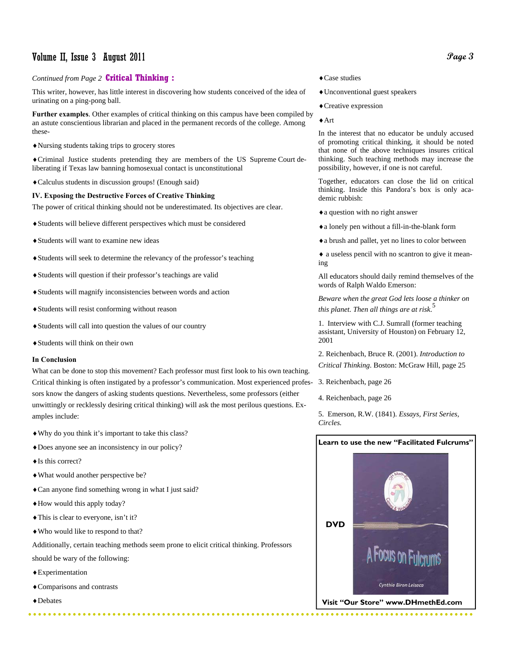### Volume II, Issue 3 August 2011

### *Continued from Page 2* **Critical Thinking :**

This writer, however, has little interest in discovering how students conceived of the idea of urinating on a ping-pong ball.

**Further examples**. Other examples of critical thinking on this campus have been compiled by an astute conscientious librarian and placed in the permanent records of the college. Among these-

♦Nursing students taking trips to grocery stores

♦Criminal Justice students pretending they are members of the US Supreme Court deliberating if Texas law banning homosexual contact is unconstitutional

♦Calculus students in discussion groups! (Enough said)

#### **IV. Exposing the Destructive Forces of Creative Thinking**

The power of critical thinking should not be underestimated. Its objectives are clear.

- ♦Students will believe different perspectives which must be considered
- ♦Students will want to examine new ideas
- ♦Students will seek to determine the relevancy of the professor's teaching
- ♦Students will question if their professor's teachings are valid
- ♦Students will magnify inconsistencies between words and action
- ♦Students will resist conforming without reason
- ♦Students will call into question the values of our country
- ♦Students will think on their own

#### **In Conclusion**

What can be done to stop this movement? Each professor must first look to his own teaching. Critical thinking is often instigated by a professor's communication. Most experienced professors know the dangers of asking students questions. Nevertheless, some professors (either unwittingly or recklessly desiring critical thinking) will ask the most perilous questions. Examples include:

- ♦Why do you think it's important to take this class?
- ♦Does anyone see an inconsistency in our policy?
- ♦Is this correct?
- ♦What would another perspective be?
- ♦Can anyone find something wrong in what I just said?
- ♦How would this apply today?
- ♦This is clear to everyone, isn't it?
- ♦Who would like to respond to that?

Additionally, certain teaching methods seem prone to elicit critical thinking. Professors

should be wary of the following:

- ♦Experimentation
- ♦Comparisons and contrasts
- ♦Debates

. . . . . . . . . .

#### ♦Case studies

- ♦Unconventional guest speakers
- ♦Creative expression

#### ♦Art

In the interest that no educator be unduly accused of promoting critical thinking, it should be noted that none of the above techniques insures critical thinking. Such teaching methods may increase the possibility, however, if one is not careful.

Together, educators can close the lid on critical thinking. Inside this Pandora's box is only academic rubbish:

- ♦a question with no right answer
- ♦a lonely pen without a fill-in-the-blank form
- ♦a brush and pallet, yet no lines to color between

♦ a useless pencil with no scantron to give it meaning

All educators should daily remind themselves of the words of Ralph Waldo Emerson:

*Beware when the great God lets loose a thinker on this planet. Then all things are at risk*. 5

1. Interview with C.J. Sumrall (former teaching assistant, University of Houston) on February 12, 2001

2. Reichenbach, Bruce R. (2001). *Introduction to Critical Thinking*. Boston: McGraw Hill, page 25

3. Reichenbach, page 26

4. Reichenbach, page 26

5. Emerson, R.W. (1841). *Essays, First Series, Circles.*

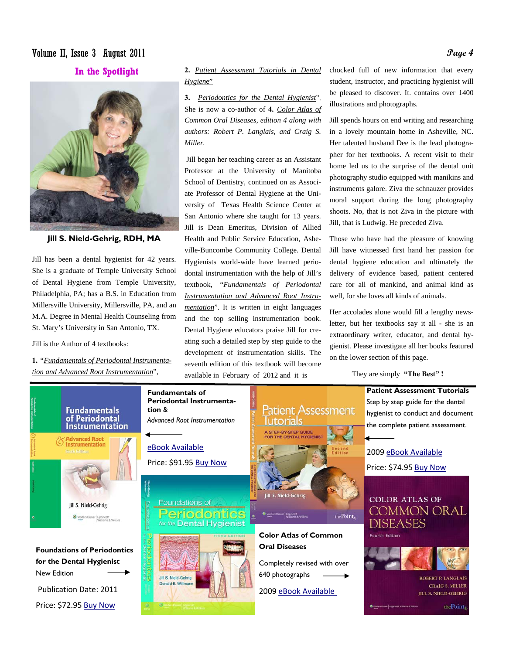### Volume II, Issue 3 August 2011 **Page 4**

### **In the Spotlight**



**Jill S. Nield-Gehrig, RDH, MA** 

Jill has been a dental hygienist for 42 years. She is a graduate of Temple University School of Dental Hygiene from Temple University, Philadelphia, PA; has a B.S. in Education from Millersville University, Millersville, PA, and an M.A. Degree in Mental Health Counseling from St. Mary's University in San Antonio, TX.

Jill is the Author of 4 textbooks:

**1.** *"Fundamentals of Periodontal Instrumentation and Advanced Root Instrumentation*",

**2.** *Patient Assessment Tutorials in Dental Hygien*e"

**3.** *Periodontics for the Dental Hygienist*". She is now a co-author of **4.** *Color Atlas of Common Oral Diseases, edition 4 along with authors: Robert P. Langlais, and Craig S. Miller.* 

 Jill began her teaching career as an Assistant Professor at the University of Manitoba School of Dentistry, continued on as Associate Professor of Dental Hygiene at the University of Texas Health Science Center at San Antonio where she taught for 13 years. Jill is Dean Emeritus, Division of Allied Health and Public Service Education, Asheville-Buncombe Community College. Dental Hygienists world-wide have learned periodontal instrumentation with the help of Jill's textbook, *"Fundamentals of Periodontal Instrumentation and Advanced Root Instrumentation*". It is written in eight languages and the top selling instrumentation book. Dental Hygiene educators praise Jill for creating such a detailed step by step guide to the development of instrumentation skills. The seventh edition of this textbook will become available in February of 2012 and it is

chocked full of new information that every student, instructor, and practicing hygienist will be pleased to discover. It. contains over 1400 illustrations and photographs.

Jill spends hours on end writing and researching in a lovely mountain home in Asheville, NC. Her talented husband Dee is the lead photographer for her textbooks. A recent visit to their home led us to the surprise of the dental unit photography studio equipped with manikins and instruments galore. Ziva the schnauzer provides moral support during the long photography shoots. No, that is not Ziva in the picture with Jill, that is Ludwig. He preceded Ziva.

Those who have had the pleasure of knowing Jill have witnessed first hand her passion for dental hygiene education and ultimately the delivery of evidence based, patient centered care for all of mankind, and animal kind as well, for she loves all kinds of animals.

Her accolades alone would fill a lengthy newsletter, but her textbooks say it all - she is an extraordinary writer, educator, and dental hygienist. Please investigate all her books featured on the lower section of this page.

They are simply **"The Best" !**

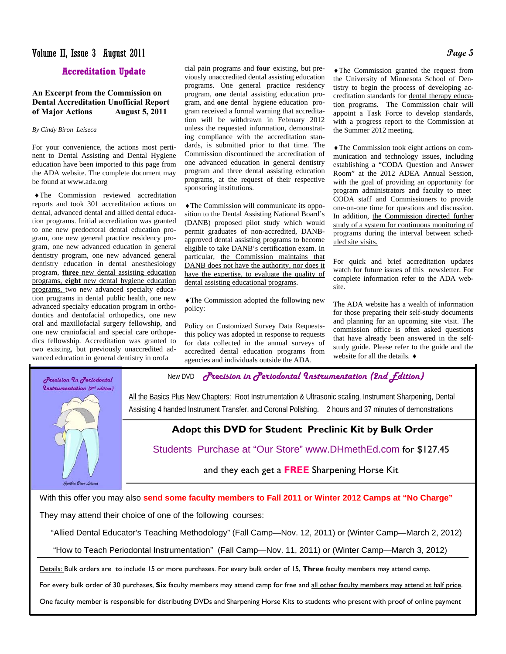### Volume II, Issue 3 August 2011 **Page 5**

### **Accreditation Update**

### **An Excerpt from the Commission on Dental Accreditation Unofficial Report of Major Actions August 5, 2011**

#### *By Cindy Biron Leiseca*

For your convenience, the actions most pertinent to Dental Assisting and Dental Hygiene education have been imported to this page from the ADA website. The complete document may be found at www.ada.org

♦The Commission reviewed accreditation reports and took 301 accreditation actions on dental, advanced dental and allied dental education programs. Initial accreditation was granted to one new predoctoral dental education program, one new general practice residency program, one new advanced education in general dentistry program, one new advanced general dentistry education in dental anesthesiology program, **three** new dental assisting education programs, **eight** new dental hygiene education programs, two new advanced specialty education programs in dental public health, one new advanced specialty education program in orthodontics and dentofacial orthopedics, one new oral and maxillofacial surgery fellowship, and one new craniofacial and special care orthopedics fellowship. Accreditation was granted to two existing, but previously unaccredited advanced education in general dentistry in orofa

cial pain programs and **four** existing, but previously unaccredited dental assisting education programs. One general practice residency program, **one** dental assisting education program, and **one** dental hygiene education program received a formal warning that accreditation will be withdrawn in February 2012 unless the requested information, demonstrating compliance with the accreditation standards, is submitted prior to that time. The Commission discontinued the accreditation of one advanced education in general dentistry program and three dental assisting education programs, at the request of their respective sponsoring institutions.

♦The Commission will communicate its opposition to the Dental Assisting National Board's (DANB) proposed pilot study which would permit graduates of non-accredited, DANBapproved dental assisting programs to become eligible to take DANB's certification exam. In particular, the Commission maintains that DANB does not have the authority, nor does it have the expertise, to evaluate the quality of dental assisting educational programs.

♦The Commission adopted the following new policy:

Policy on Customized Survey Data Requeststhis policy was adopted in response to requests for data collected in the annual surveys of accredited dental education programs from agencies and individuals outside the ADA.

♦The Commission granted the request from the University of Minnesota School of Dentistry to begin the process of developing accreditation standards for dental therapy education programs. The Commission chair will appoint a Task Force to develop standards, with a progress report to the Commission at the Summer 2012 meeting.

♦The Commission took eight actions on communication and technology issues, including establishing a "CODA Question and Answer Room" at the 2012 ADEA Annual Session, with the goal of providing an opportunity for program administrators and faculty to meet CODA staff and Commissioners to provide one-on-one time for questions and discussion. In addition, the Commission directed further study of a system for continuous monitoring of programs during the interval between scheduled site visits.

For quick and brief accreditation updates watch for future issues of this newsletter. For complete information refer to the ADA website.

The ADA website has a wealth of information for those preparing their self-study documents and planning for an upcoming site visit. The commission office is often asked questions that have already been answered in the selfstudy guide. Please refer to the guide and the website for all the details. ♦

Precision In Periodontal *<u><u>Anstrumentation</u>* (2<sup>nd</sup> edition)</u>

Punthia Biron Leis

New DVD *Precision in Periodontal Instrumentation (2nd Edition)*

All the Basics Plus New Chapters: Root Instrumentation & Ultrasonic scaling, Instrument Sharpening, Dental Assisting 4 handed Instrument Transfer, and Coronal Polishing. 2 hours and 37 minutes of demonstrations

### **Adopt this DVD for Student Preclinic Kit by Bulk Order**

Students Purchase at "Our Store" www.DHmethEd.com for \$127.45

and they each get a **FREE** Sharpening Horse Kit

With this offer you may also **send some faculty members to Fall 2011 or Winter 2012 Camps at "No Charge"** 

They may attend their choice of one of the following courses:

"Allied Dental Educator's Teaching Methodology" (Fall Camp—Nov. 12, 2011) or (Winter Camp—March 2, 2012)

"How to Teach Periodontal Instrumentation" (Fall Camp—Nov. 11, 2011) or (Winter Camp—March 3, 2012)

Details: Bulk orders are to include 15 or more purchases. For every bulk order of 15, **Three** faculty members may attend camp.

For every bulk order of 30 purchases, **Six** faculty members may attend camp for free and all other faculty members may attend at half price.

One faculty member is responsible for distributing DVDs and Sharpening Horse Kits to students who present with proof of online payment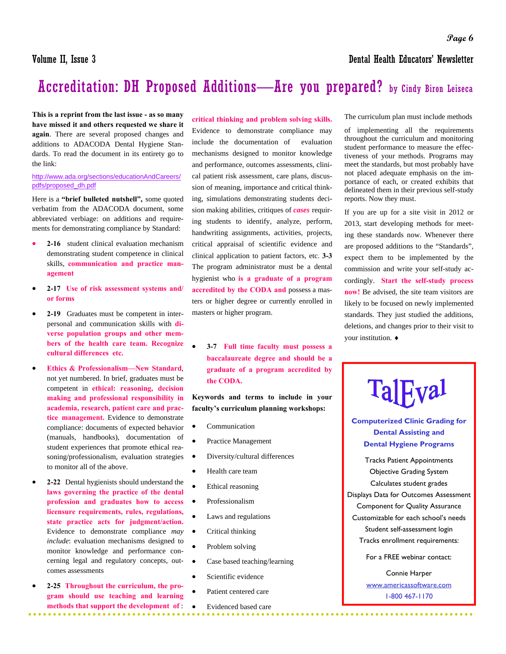**This is a reprint from the last issue - as so many have missed it and others requested we share it again**. There are several proposed changes and additions to ADACODA Dental Hygiene Standards. To read the document in its entirety go to the link:

### http://www.ada.org/sections/educationAndCareers/ pdfs/proposed\_dh.pdf

Here is a **"brief bulleted nutshell",** some quoted verbatim from the ADACODA document, some abbreviated verbiage: on additions and requirements for demonstrating compliance by Standard:

- **2-16** student clinical evaluation mechanism demonstrating student competence in clinical skills, **communication and practice management**
- **2-17 Use of risk assessment systems and/ or forms**
- **2-19** Graduates must be competent in interpersonal and communication skills with **diverse population groups and other members of the health care team. Recognize cultural differences etc.**
- **Ethics & Professionalism—New Standard**, not yet numbered. In brief, graduates must be competent in **ethical: reasoning, decision making and professional responsibility in academia, research, patient care and practice management.** Evidence to demonstrate compliance: documents of expected behavior (manuals, handbooks), documentation of student experiences that promote ethical reasoning/professionalism, evaluation strategies to monitor all of the above.
- **2-22** Dental hygienists should understand the **laws governing the practice of the dental profession and graduates how to access licensure requirements, rules, regulations, state practice acts for judgment/action.**  Evidence to demonstrate compliance *may include*: evaluation mechanisms designed to monitor knowledge and performance concerning legal and regulatory concepts, outcomes assessments
- **2-25 Throughout the curriculum, the program should use teaching and learning methods that support the development of** :

**critical thinking and problem solving skills.**  Evidence to demonstrate compliance may include the documentation of evaluation mechanisms designed to monitor knowledge and performance, outcomes assessments, clinical patient risk assessment, care plans, discussion of meaning, importance and critical thinking, simulations demonstrating students decision making abilities, critiques of *cases* requiring students to identify, analyze, perform, handwriting assignments, activities, projects, critical appraisal of scientific evidence and clinical application to patient factors, etc. **3-3**  The program administrator must be a dental hygienist who **is a graduate of a program accredited by the CODA and** possess a masters or higher degree or currently enrolled in masters or higher program.

• **3-7 Full time faculty must possess a baccalaureate degree and should be a graduate of a program accredited by the CODA.**

**Keywords and terms to include in your faculty's curriculum planning workshops:** 

- **Communication**
- Practice Management
- Diversity/cultural differences
- Health care team
- Ethical reasoning
- Professionalism
	- Laws and regulations
- Critical thinking
	- Problem solving
- Case based teaching/learning
- Scientific evidence
- Patient centered care
- Evidenced based care

The curriculum plan must include methods

of implementing all the requirements throughout the curriculum and monitoring student performance to measure the effectiveness of your methods. Programs may meet the standards, but most probably have not placed adequate emphasis on the importance of each, or created exhibits that delineated them in their previous self-study reports. Now they must.

If you are up for a site visit in 2012 or 2013, start developing methods for meeting these standards now. Whenever there are proposed additions to the "Standards", expect them to be implemented by the commission and write your self-study accordingly. **Start the self-study process now!** Be advised, the site team visitors are likely to be focused on newly implemented standards. They just studied the additions, deletions, and changes prior to their visit to your institution. ♦

# **TalFyal Computerized Clinic Grading for**

**Dental Assisting and Dental Hygiene Programs** 

Tracks Patient Appointments Objective Grading System Calculates student grades Displays Data for Outcomes Assessment Component for Quality Assurance Customizable for each school's needs Student self-assessment login Tracks enrollment requirements:

For a FREE webinar contact:

Connie Harper www.americassoftware.com 1-800 467-1170

..........................

Volume II, Issue 3 Dental Health Educators' Newsletter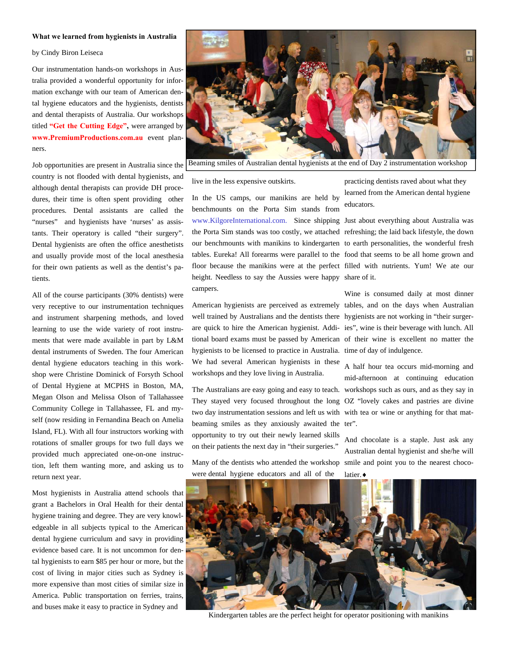#### **What we learned from hygienists in Australia**

by Cindy Biron Leiseca

Our instrumentation hands-on workshops in Australia provided a wonderful opportunity for information exchange with our team of American dental hygiene educators and the hygienists, dentists and dental therapists of Australia. Our workshops titled **"Get the Cutting Edge",** were arranged by **www.PremiumProductions.com.au** event planners.

Job opportunities are present in Australia since the country is not flooded with dental hygienists, and although dental therapists can provide DH procedures, their time is often spent providing other procedures. Dental assistants are called the "nurses" and hygienists have 'nurses' as assistants. Their operatory is called "their surgery". Dental hygienists are often the office anesthetists and usually provide most of the local anesthesia for their own patients as well as the dentist's patients.

All of the course participants (30% dentists) were very receptive to our instrumentation techniques and instrument sharpening methods, and loved learning to use the wide variety of root instruments that were made available in part by L&M dental instruments of Sweden. The four American dental hygiene educators teaching in this workshop were Christine Dominick of Forsyth School of Dental Hygiene at MCPHS in Boston, MA, Megan Olson and Melissa Olson of Tallahassee Community College in Tallahassee, FL and myself (now residing in Fernandina Beach on Amelia Island, FL). With all four instructors working with rotations of smaller groups for two full days we provided much appreciated one-on-one instruction, left them wanting more, and asking us to return next year.

Most hygienists in Australia attend schools that grant a Bachelors in Oral Health for their dental hygiene training and degree. They are very knowledgeable in all subjects typical to the American dental hygiene curriculum and savy in providing evidence based care. It is not uncommon for dental hygienists to earn \$85 per hour or more, but the cost of living in major cities such as Sydney is more expensive than most cities of similar size in America. Public transportation on ferries, trains, and buses make it easy to practice in Sydney and



Beaming smiles of Australian dental hygienists at the end of Day 2 instrumentation workshop

live in the less expensive outskirts.

In the US camps, our manikins are held by benchmounts on the Porta Sim stands from www.KilgoreInternational.com. Since shipping Just about everything about Australia was the Porta Sim stands was too costly, we attached refreshing; the laid back lifestyle, the down our benchmounts with manikins to kindergarten to earth personalities, the wonderful fresh tables. Eureka! All forearms were parallel to the food that seems to be all home grown and floor because the manikins were at the perfect filled with nutrients. Yum! We ate our height. Needless to say the Aussies were happy share of it. campers.

American hygienists are perceived as extremely tables, and on the days when Australian well trained by Australians and the dentists there hygienists are not working in "their surgerare quick to hire the American hygienist. Addi-ies", wine is their beverage with lunch. All tional board exams must be passed by American of their wine is excellent no matter the hygienists to be licensed to practice in Australia. time of day of indulgence. We had several American hygienists in these workshops and they love living in Australia.

The Australians are easy going and easy to teach. workshops such as ours, and as they say in They stayed very focused throughout the long OZ "lovely cakes and pastries are divine two day instrumentation sessions and left us with with tea or wine or anything for that matbeaming smiles as they anxiously awaited the ter". opportunity to try out their newly learned skills on their patients the next day in "their surgeries."

Many of the dentists who attended the workshop were dental hygiene educators and all of the

practicing dentists raved about what they learned from the American dental hygiene educators.

Wine is consumed daily at most dinner

A half hour tea occurs mid-morning and mid-afternoon at continuing education

And chocolate is a staple. Just ask any Australian dental hygienist and she/he will smile and point you to the nearest choco-



latier.♦

Kindergarten tables are the perfect height for operator positioning with manikins